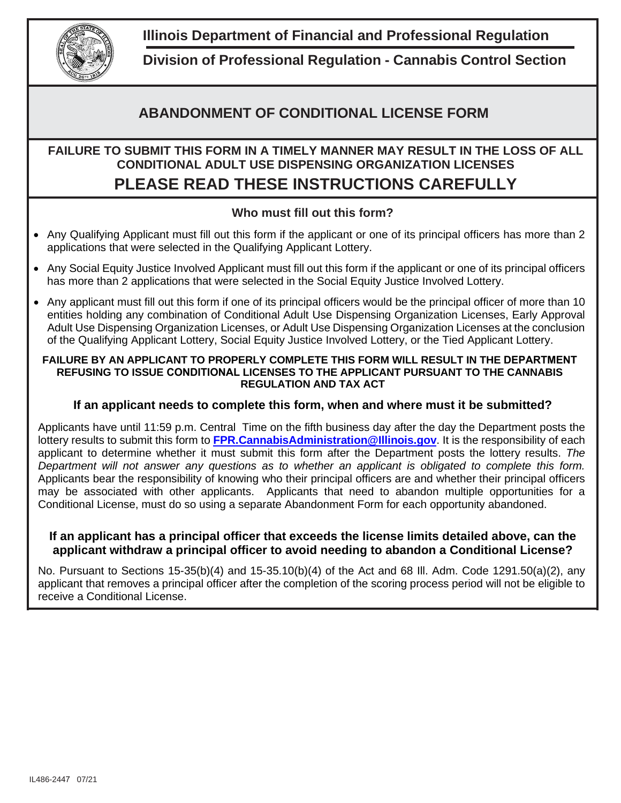

**Illinois Department of Financial and Professional Regulation**

**Division of Professional Regulation - Cannabis Control Section**

## **ABANDONMENT OF CONDITIONAL LICENSE FORM**

# **FAILURE TO SUBMIT THIS FORM IN A TIMELY MANNER MAY RESULT IN THE LOSS OF ALL CONDITIONAL ADULT USE DISPENSING ORGANIZATION LICENSES**

# **PLEASE READ THESE INSTRUCTIONS CAREFULLY**

### **Who must fill out this form?**

- Any Qualifying Applicant must fill out this form if the applicant or one of its principal officers has more than 2 applications that were selected in the Qualifying Applicant Lottery.
- Any Social Equity Justice Involved Applicant must fill out this form if the applicant or one of its principal officers has more than 2 applications that were selected in the Social Equity Justice Involved Lottery.
- Any applicant must fill out this form if one of its principal officers would be the principal officer of more than 10 entities holding any combination of Conditional Adult Use Dispensing Organization Licenses, Early Approval Adult Use Dispensing Organization Licenses, or Adult Use Dispensing Organization Licenses at the conclusion of the Qualifying Applicant Lottery, Social Equity Justice Involved Lottery, or the Tied Applicant Lottery.

#### **FAILURE BY AN APPLICANT TO PROPERLY COMPLETE THIS FORM WILL RESULT IN THE DEPARTMENT REFUSING TO ISSUE CONDITIONAL LICENSES TO THE APPLICANT PURSUANT TO THE CANNABIS REGULATION AND TAX ACT**

#### **If an applicant needs to complete this form, when and where must it be submitted?**

Applicants have until 11:59 p.m. Central Time on the fifth business day after the day the Department posts the lottery results to submit this form to **[FPR.CannabisAdministration@Illinois.gov](mailto:FPR.CannabisAdministration@Illinois.gov)**. It is the responsibility of each applicant to determine whether it must submit this form after the Department posts the lottery results. *The Department will not answer any questions as to whether an applicant is obligated to complete this form.* Applicants bear the responsibility of knowing who their principal officers are and whether their principal officers may be associated with other applicants. Applicants that need to abandon multiple opportunities for a Conditional License, must do so using a separate Abandonment Form for each opportunity abandoned.

#### **If an applicant has a principal officer that exceeds the license limits detailed above, can the applicant withdraw a principal officer to avoid needing to abandon a Conditional License?**

No. Pursuant to Sections 15-35(b)(4) and 15-35.10(b)(4) of the Act and 68 Ill. Adm. Code 1291.50(a)(2), any applicant that removes a principal officer after the completion of the scoring process period will not be eligible to receive a Conditional License.